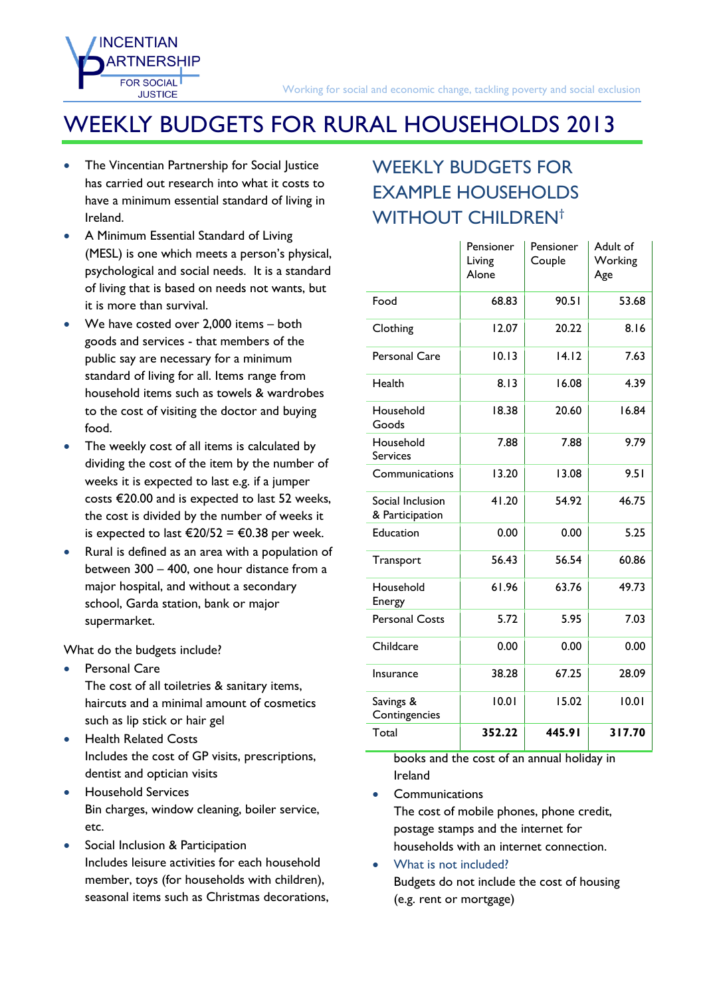## WEEKLY BUDGETS FOR RURAL HOUSEHOLDS 2013

 The Vincentian Partnership for Social Justice has carried out research into what it costs to have a minimum essential standard of living in Ireland.

**INCENTIAN** 

**EOR SOCIAL JUSTICE** 

- A Minimum Essential Standard of Living (MESL) is one which meets a person's physical, psychological and social needs. It is a standard of living that is based on needs not wants, but it is more than survival.
- We have costed over 2,000 items both goods and services - that members of the public say are necessary for a minimum standard of living for all. Items range from household items such as towels & wardrobes to the cost of visiting the doctor and buying food.
- The weekly cost of all items is calculated by dividing the cost of the item by the number of weeks it is expected to last e.g. if a jumper costs €20.00 and is expected to last 52 weeks, the cost is divided by the number of weeks it is expected to last €20/52 = €0.38 per week.
- Rural is defined as an area with a population of between 300 – 400, one hour distance from a major hospital, and without a secondary school, Garda station, bank or major supermarket.

What do the budgets include?

- Personal Care The cost of all toiletries & sanitary items, haircuts and a minimal amount of cosmetics such as lip stick or hair gel
- **•** Health Related Costs Includes the cost of GP visits, prescriptions, dentist and optician visits
- **•** Household Services Bin charges, window cleaning, boiler service, etc.
- Social Inclusion & Participation Includes leisure activities for each household member, toys (for households with children), seasonal items such as Christmas decorations,

## WEEKLY BUDGETS FOR **EXAMPLE HOUSEHOLDS** WITHOUT CHILDREN<sup>[†](#page-1-0)</sup>

|                                     | Pensioner<br>Living<br>Alone | Pensioner<br>Couple | Adult of<br>Working<br>Age |  |
|-------------------------------------|------------------------------|---------------------|----------------------------|--|
| Food                                | 68.83                        | 90.51               | 53.68                      |  |
| Clothing                            | 12.07                        | 20.22               | 8.16                       |  |
| Personal Care                       | 10.13                        | 14.12               | 7.63                       |  |
| Health                              | 8.13                         | 16.08               | 4.39                       |  |
| Household<br>Goods                  | 18.38                        | 20.60               | 16.84                      |  |
| Household<br><b>Services</b>        | 7.88                         | 7.88                | 9.79                       |  |
| Communications                      | 13.20                        | 13.08               | 9.51                       |  |
| Social Inclusion<br>& Participation | 41.20                        | 54.92               | 46.75                      |  |
| Education                           | 0.00                         | 0.00                | 5.25                       |  |
| Transport                           | 56.43                        | 56.54               | 60.86                      |  |
| Household<br>Energy                 | 61.96                        | 63.76               | 49.73                      |  |
| <b>Personal Costs</b>               | 5.72                         | 5.95                | 7.03                       |  |
| Childcare                           | 0.00                         | 0.00                | 0.00                       |  |
| Insurance                           | 38.28                        | 67.25               | 28.09                      |  |
| Savings &<br>Contingencies          | 10.01                        | 15.02               |                            |  |
| Total                               | 352.22                       | 445.91              | 317.70                     |  |

books and the cost of an annual holiday in Ireland

**Communications** 

The cost of mobile phones, phone credit, postage stamps and the internet for households with an internet connection.

 What is not included? Budgets do not include the cost of housing (e.g. rent or mortgage)